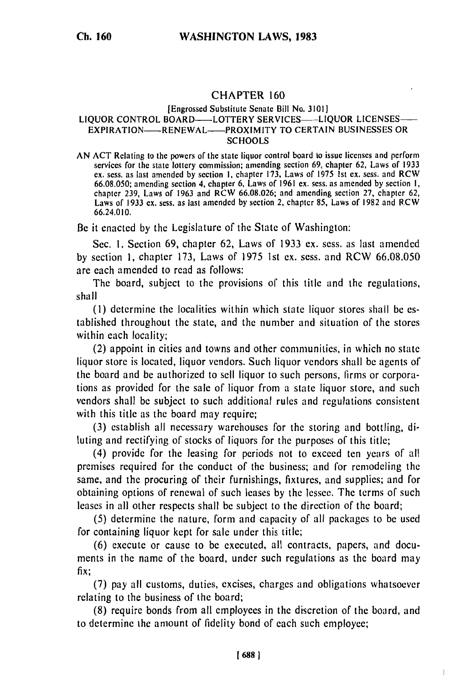## CHAPTER **160**

## [Engrossed Substitute Senate Bill No. **3101] LIQUOR** CONTROL BOARD- LOTTERY **SERVICES- LIQUOR** LICENSES-EXPIRATION- RENEWAL--PROXIMITY TO **CERTAIN** BUSINESSES OR **SCHOOLS**

AN ACT Relating to the powers of the state liquor control board to issue licenses and perform services for the state lottery commission; amending section 69, chapter **62,** Laws of **1933** ex. sess. as last amended **by** section **1,** chapter **173,** Laws of **1975 1st** ex. sess. and RCW 66.08.050; amending section 4, chapter **6,** Laws of **1961** ex. scss. as amended **by** section **1,** chapter **239,** Laws of **1963** and RCW 66.08.026; and amending section **27,** chapter 62, Laws of **1933** ex. sess. as last amended **by** section 2, chapter **85,** Laws of 1982 and RCW 66.24.010.

Be it enacted by the Legislature of the State of Washington:

Sec. **1.** Section 69, chapter 62, Laws of **1933** ex. sess. as last amended **by** section 1, chapter **173,** Laws of **1975 Ist** ex. sess. and RCW 66.08.050 are each amended to read as follows:

The board, subject to the provisions of this title and the regulations, shall

**(1)** determine the localities within which state liquor stores shall **be** established throughout the state, and the number and situation of the stores within each locality;

(2) appoint in cities and towns and other communities, in which no state liquor store is located, liquor vendors. Such liquor vendors shall be agents of the board and be authorized to sell liquor to such persons, firms or corporations as provided for the sale of liquor from a state liquor store, and such vendors shall be subject to such additional rules and regulations consistent with this title as the board may require;

(3) establish all necessary warehouses for the storing and bottling, diluting and rectifying of stocks of liquors for the purposes of this title;

(4) provide for the leasing for periods not to exceed ten years of all premises required for the conduct of the business; and for remodeling the same, and the procuring of their furnishings, fixtures, and supplies; and for obtaining options of renewal of such leases by the lessee. The terms of such leases in all other respects shall be subject to the direction of the board;

(5) determine the nature, form and capacity of all packages to be used for containing liquor kept for sale under this title;

(6) execute or cause to be executed, all contracts, papers, and documents in the name of the board, under such regulations as the board may fix;

(7) pay all customs, duties, excises, charges and obligations whatsoever relating to the business of the board;

(8) require bonds from all employees in the discretion of the board, and to determine the amount of fidelity bond of each such employee;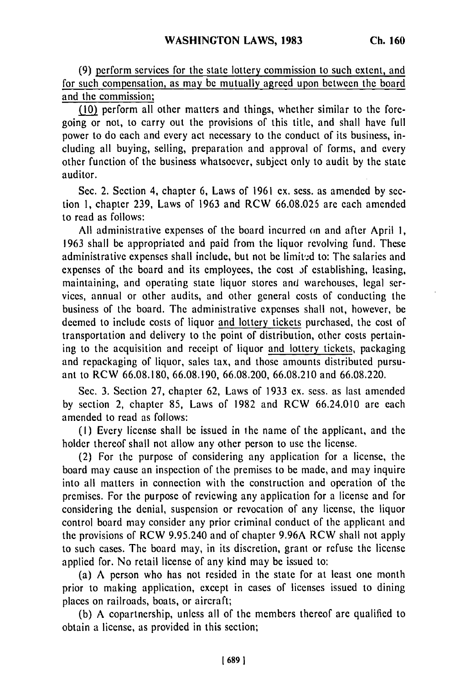(9) perform services for the state lottery commission to such extent, and for such compensation, as may be mutually agreed upon between the board and the commission;

(10) perform all other matters and things, whether similar to the foregoing or not, to carry out the provisions of this title, and shall have full power to do each and every act necessary to the conduct of its business, including all buying, selling, preparation and approval of forms, and every other function of the business whatsoever, subject only to audit by the state auditor.

Sec. 2. Section 4, chapter 6, Laws of 1961 ex. sess. as amended by section 1, chapter 239, Laws of 1963 and RCW 66.08.025 are each amended to read as follows:

All administrative expenses of the board incurred on and after April 1, 1963 shall be appropriated and paid from the liquor revolving fund. These administrative expenses shall include, but not be limited to: The salaries and expenses of the board and its employees, the cost **)f** establishing, leasing, maintaining, and operating state liquor stores and warehouses, legal services, annual or other audits, and other general costs of conducting the business of the board. The administrative expenses shall not, however, be deemed to include costs of liquor and lottery tickets purchased, the cost of transportation and delivery to the point of distribution, other costs pertaining to the acquisition and receipt of liquor and lottery tickets, packaging and repackaging of liquor, sales tax, and those amounts distributed pursuant to RCW 66.08.180, 66.08.190, 66.08.200, 66.08.210 and 66.08.220.

Sec. 3. Section 27, chapter 62, Laws of 1933 ex. sess. as last amended by section 2, chapter 85, Laws of 1982 and RCW 66.24.010 are each amended to read as follows:

(I) Every license shall be issued in the name of the applicant, and the holder thereof shall not allow any other person to use the license.

(2) For the purpose of considering any application for a license, the board may cause an inspection of the premises to be made, and may inquire into all matters in connection with the construction and operation of the premises. For the purpose of reviewing any application for a license and for considering the denial, suspension or revocation of any license, the liquor control board may consider any prior criminal conduct of the applicant and the provisions of RCW 9.95.240 and of chapter 9.96A RCW shall not apply to such cases. The board may, in its discretion, grant or refuse the license applied for. No retail license of any kind may be issued to:

(a) A person who has not resided in the state for at least one month prior to making application, except in cases of licenses issued to dining places on railroads, boats, or aircraft;

(b) A copartnership, unless all of the members thereof are qualified to obtain a license, as provided in this section;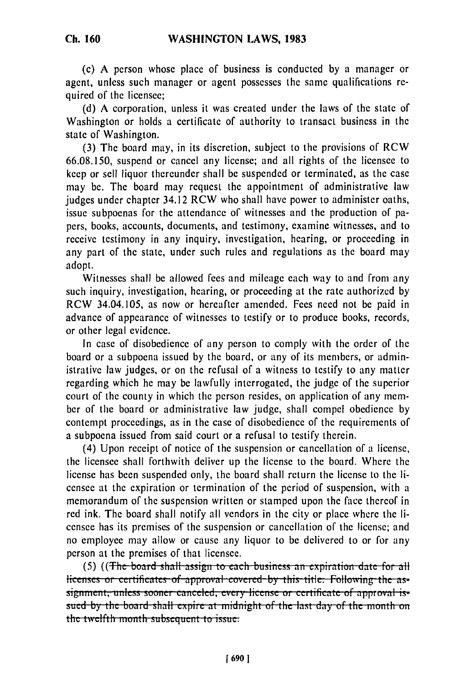(c) A person whose place of business is conducted by a manager or agent, unless such manager or agent possesses the same qualifications required of the licensee;

(d) A corporation, unless it was created under the laws of the state of Washington or holds a certificate of authority to transact business in the state of Washington.

(3) The board may, in its discretion, subject to the provisions of RCW 66.08.150, suspend or cancel any license; and all rights of the licensee to keep or sell liquor thereunder shall be suspended or terminated, as the case may be. The board may request the appointment of administrative law judges under chapter 34.12 RCW who shall have power to administer oaths, issue subpoenas for the attendance of witnesses and the production of papers, books, accounts, documents, and testimony, examine witnesses, and to receive testimony in any inquiry, investigation, hearing, or proceeding in any part of the state, under such rules and regulations as the board may adopt.

Witnesses shall be allowed fees and mileage each way to and from any such inquiry, investigation, hearing, or proceeding at the rate authorized by RCW 34.04.105, as now or hereafter amended. Fees need not be paid in advance of appearance of witnesses to testify or to produce books, records, or other legal evidence.

In case of disobedience of any person to comply with the order of the board or a subpoena issued by the board, or any of its members, or administrative law judges, or on the refusal of a witness to testify to any matter regarding which he may be lawfully interrogated, the judge of the superior court of the county in which the person resides, on application of any member of the board or administrative law judge, shall compel obedience by contempt proceedings, as in the case of disobedience of the requirements of a subpoena issued from said court or a refusal to testify therein.

(4) Upon receipt of notice of the suspension or cancellation of a license, the licensee shall forthwith deliver up the license to the board. Where the license has been suspended only, the board shall return the license to the licensee at the expiration or termination of the period of suspension, with a memorandum of the suspension written or stamped upon the face thereof in red ink. The board shall notify all vendors in the city or place where the licensee has its premises of the suspension or cancellation of the license; and no employee may allow or cause any liquor to be delivered to or for any person at the premises of that licensee.<br>(5) ((The board shall assign to each business an expiration date for all

licenses or certificates of approval covered by this title. Following the asneenses of eeruncates of approval covered by this title. Following the as sued by the board shall expire at midnight of the last day of the month on **the twelfth month subsequent to issue.**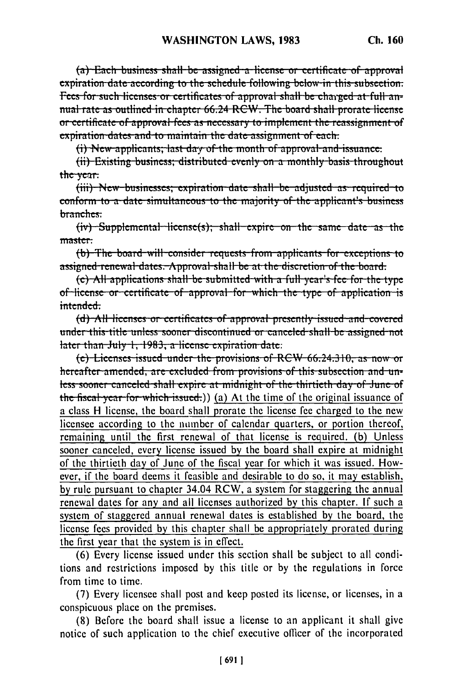(a) Each business shall be assigned a license or certificate of approval expiration date according to the schedule following below in this subsection. Fees for such licenses or certificates of approval shall be charged at full annual rate as outlined in chapter 66.24 RCW. The board shall prorate license or certificate of approval fees as necessary to implement the reassignment of expiration dates and to maintain the date assignment of each.

(i) New applicants; last day of the month of approval and issuance:

(ii) Existing business; distributed evenly on a monthly basis throughout the year.

(iii) New-businesses; expiration date shall be adjusted as required to conform to a date simultaneous to the majority of the applicant's business branches:

 $(iv)$  Supplemental license(s); shall expire on the same date as the master:

(b) The board will consider requests from applicants for exceptions to assigned renewal dates. Approval shall be at the discretion of the board.

(c) All applications shall be submitted with a full year's fee for the type of license or certificate of approval for which the type of application is intended.

(d) All licenses or certificates of approval presently issued and covered under this title unless sooner discontinued or canceled shall be assigned not later than July 1, 1983, a license expiration date:

(e) Licenses issued under the provisions of RCW 66.24.310, as now or hereafter amended, are excluded from provisions of this subsection and unless sooner canceled shall expire at midnight of the thirtieth day of June of the fiscal year for which issued.) (a) At the time of the original issuance of a class H license, the board shall prorate the license fee charged to the new licensee according to the number of calendar quarters, or portion thereof, remaining until the first renewal of that license is required. (b) Unless sooner canceled, every license issued by the board shall expire at midnight of the thirtieth day of June of the fiscal year for which it was issued. However, if the board deems it feasible and desirable to do so, it may establish, by rule pursuant to chapter 34.04 RCW, a system for staggering the annual renewal dates for any and all licenses authorized by this chapter. If such a system of staggered annual renewal dates is established by the board, the license fees provided by this chapter shall be appropriately prorated during the first year that the system is in effect.

(6) Every license issued under this section shall be subject to all conditions and restrictions imposed by this title or by the regulations in force from time to time.

(7) Every licensee shall post and keep posted its license, or licenses, in a conspicuous place on the premises.

(8) Before the board shall issue a license to an applicant it shall give notice of such application to the chief executive officer of the incorporated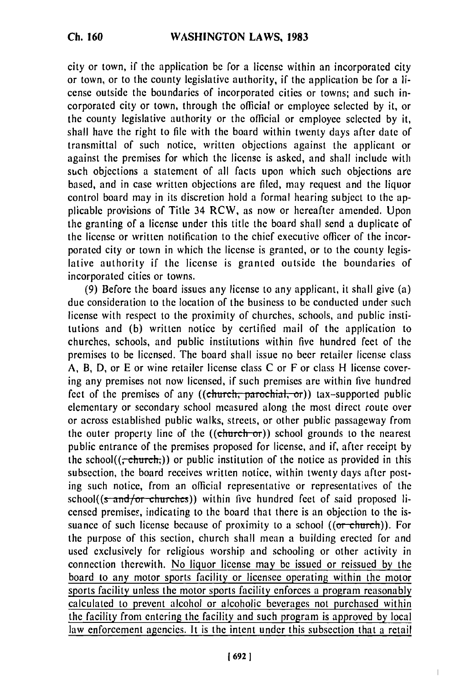**Ch. 160**

city or town, if the application be for a license within an incorporated city or town, or to the county legislative authority, if the application be for a license outside the boundaries of incorporated cities or towns; and such incorporated city or town, through the official or employee selected by it, or the county legislative authority or the official or employee selected by it, shall have the right to file with the board within twenty days after date of transmittal of such notice, written objections against the applicant or against the premises for which the license is asked, and shall include with such objections a statement of all facts upon which such objections are based, and in case written objections are filed, may request and the liquor control board may in its discretion hold a formal hearing subject to the applicable provisions of Title 34 RCW, as now or hereafter amended. Upon the granting of a license under this title the board shall send a duplicate of the license or written notification to the chief executive officer of the incorporated city or town in which the license is granted, or to the county legislative authority if the license is granted outside the boundaries of incorporated cities or towns.

(9) Before the board issues any license to any applicant, it shall give (a) due consideration to the location of the business to be conducted under such license with respect to the proximity of churches, schools, and public institutions and (b) written notice by certified mail of the application to churches, schools, and public institutions within five hundred feet of the premises to be licensed. The board shall issue no beer retailer license class A, B, D, or E or wine retailer license class C or F or class H license covering any premises not now licensed, if such premises are within five hundred feet of the premises of any ((church, parochial, or)) tax-supported public elementary or secondary school measured along the most direct route over or across established public walks, streets, or other public passageway from the outer property line of the  $((\text{church-or}))$  school grounds to the nearest public entrance of the premises proposed for license, and if, after receipt by the school( $(\tau$ -church,)) or public institution of the notice as provided in this subsection, the board receives written notice, within twenty days after posting such notice, from an official representative or representatives of the  $school((s-**and/or-churches**))$  within five hundred feet of said proposed licensed premises, indicating to the board that there is an objection to the issuance of such license because of proximity to a school  $((or$  church)). For the purpose of this section, church shall mean a building erected for and used exclusively for religious worship and schooling or other activity in connection therewith. No liquor license may be issued or reissued by the board to any motor sports facility or licensee operating within the motor sports facility unless the motor sports facility enforces a program reasonably calculated to prevent alcohol or alcoholic beverages not purchased within the facility from entering the facility and such program is approved by local law enforcement agencies. It is the intent under this subsection that a retail

ı